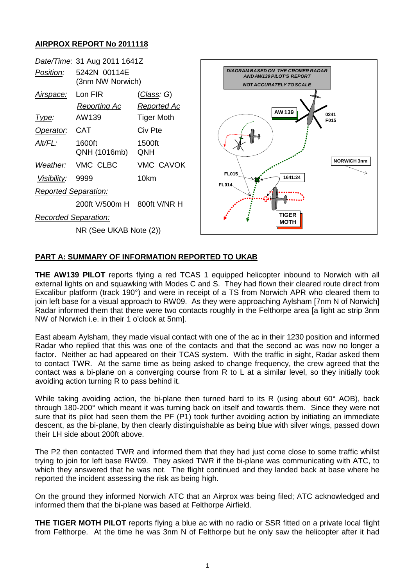## **AIRPROX REPORT No 2011118**



## **PART A: SUMMARY OF INFORMATION REPORTED TO UKAB**

**THE AW139 PILOT** reports flying a red TCAS 1 equipped helicopter inbound to Norwich with all external lights on and squawking with Modes C and S. They had flown their cleared route direct from Excalibur platform (track 190°) and were in receipt of a TS from Norwich APR who cleared them to join left base for a visual approach to RW09. As they were approaching Aylsham [7nm N of Norwich] Radar informed them that there were two contacts roughly in the Felthorpe area [a light ac strip 3nm NW of Norwich i.e. in their 1 o'clock at 5nm].

East abeam Aylsham, they made visual contact with one of the ac in their 1230 position and informed Radar who replied that this was one of the contacts and that the second ac was now no longer a factor. Neither ac had appeared on their TCAS system. With the traffic in sight, Radar asked them to contact TWR. At the same time as being asked to change frequency, the crew agreed that the contact was a bi-plane on a converging course from R to L at a similar level, so they initially took avoiding action turning R to pass behind it.

While taking avoiding action, the bi-plane then turned hard to its R (using about 60° AOB), back through 180-200° which meant it was turning back on itself and towards them. Since they were not sure that its pilot had seen them the PF (P1) took further avoiding action by initiating an immediate descent, as the bi-plane, by then clearly distinguishable as being blue with silver wings, passed down their LH side about 200ft above.

The P2 then contacted TWR and informed them that they had just come close to some traffic whilst trying to join for left base RW09. They asked TWR if the bi-plane was communicating with ATC, to which they answered that he was not. The flight continued and they landed back at base where he reported the incident assessing the risk as being high.

On the ground they informed Norwich ATC that an Airprox was being filed; ATC acknowledged and informed them that the bi-plane was based at Felthorpe Airfield.

**THE TIGER MOTH PILOT** reports flying a blue ac with no radio or SSR fitted on a private local flight from Felthorpe. At the time he was 3nm N of Felthorpe but he only saw the helicopter after it had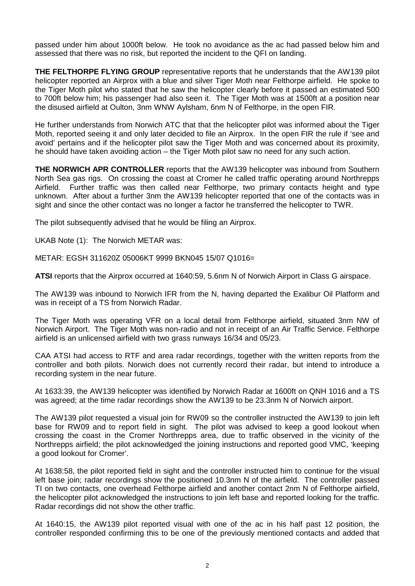passed under him about 1000ft below. He took no avoidance as the ac had passed below him and assessed that there was no risk, but reported the incident to the QFI on landing.

**THE FELTHORPE FLYING GROUP** representative reports that he understands that the AW139 pilot helicopter reported an Airprox with a blue and silver Tiger Moth near Felthorpe airfield. He spoke to the Tiger Moth pilot who stated that he saw the helicopter clearly before it passed an estimated 500 to 700ft below him; his passenger had also seen it. The Tiger Moth was at 1500ft at a position near the disused airfield at Oulton, 3nm WNW Aylsham, 6nm N of Felthorpe, in the open FIR.

He further understands from Norwich ATC that that the helicopter pilot was informed about the Tiger Moth, reported seeing it and only later decided to file an Airprox. In the open FIR the rule if 'see and avoid' pertains and if the helicopter pilot saw the Tiger Moth and was concerned about its proximity, he should have taken avoiding action – the Tiger Moth pilot saw no need for any such action.

**THE NORWICH APR CONTROLLER** reports that the AW139 helicopter was inbound from Southern North Sea gas rigs. On crossing the coast at Cromer he called traffic operating around Northrepps Airfield. Further traffic was then called near Felthorpe, two primary contacts height and type unknown. After about a further 3nm the AW139 helicopter reported that one of the contacts was in sight and since the other contact was no longer a factor he transferred the helicopter to TWR.

The pilot subsequently advised that he would be filing an Airprox.

UKAB Note (1): The Norwich METAR was:

METAR: EGSH 311620Z 05006KT 9999 BKN045 15/07 Q1016=

**ATSI** reports that the Airprox occurred at 1640:59, 5.6nm N of Norwich Airport in Class G airspace.

The AW139 was inbound to Norwich IFR from the N, having departed the Exalibur Oil Platform and was in receipt of a TS from Norwich Radar.

The Tiger Moth was operating VFR on a local detail from Felthorpe airfield, situated 3nm NW of Norwich Airport. The Tiger Moth was non-radio and not in receipt of an Air Traffic Service. Felthorpe airfield is an unlicensed airfield with two grass runways 16/34 and 05/23.

CAA ATSI had access to RTF and area radar recordings, together with the written reports from the controller and both pilots. Norwich does not currently record their radar, but intend to introduce a recording system in the near future.

At 1633:39, the AW139 helicopter was identified by Norwich Radar at 1600ft on QNH 1016 and a TS was agreed; at the time radar recordings show the AW139 to be 23.3nm N of Norwich airport.

The AW139 pilot requested a visual join for RW09 so the controller instructed the AW139 to join left base for RW09 and to report field in sight. The pilot was advised to keep a good lookout when crossing the coast in the Cromer Northrepps area, due to traffic observed in the vicinity of the Northrepps airfield; the pilot acknowledged the joining instructions and reported good VMC, 'keeping a good lookout for Cromer'.

At 1638:58, the pilot reported field in sight and the controller instructed him to continue for the visual left base join; radar recordings show the positioned 10.3nm N of the airfield. The controller passed TI on two contacts, one overhead Felthorpe airfield and another contact 2nm N of Felthorpe airfield, the helicopter pilot acknowledged the instructions to join left base and reported looking for the traffic. Radar recordings did not show the other traffic.

At 1640:15, the AW139 pilot reported visual with one of the ac in his half past 12 position, the controller responded confirming this to be one of the previously mentioned contacts and added that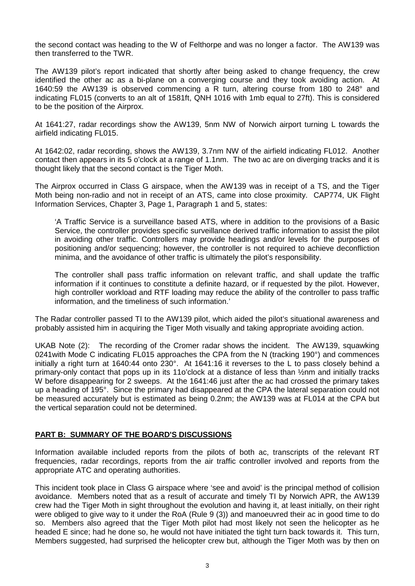the second contact was heading to the W of Felthorpe and was no longer a factor. The AW139 was then transferred to the TWR.

The AW139 pilot's report indicated that shortly after being asked to change frequency, the crew identified the other ac as a bi-plane on a converging course and they took avoiding action. At 1640:59 the AW139 is observed commencing a R turn, altering course from 180 to 248° and indicating FL015 (converts to an alt of 1581ft, QNH 1016 with 1mb equal to 27ft). This is considered to be the position of the Airprox.

At 1641:27, radar recordings show the AW139, 5nm NW of Norwich airport turning L towards the airfield indicating FL015.

At 1642:02, radar recording, shows the AW139, 3.7nm NW of the airfield indicating FL012. Another contact then appears in its 5 o'clock at a range of 1.1nm. The two ac are on diverging tracks and it is thought likely that the second contact is the Tiger Moth.

The Airprox occurred in Class G airspace, when the AW139 was in receipt of a TS, and the Tiger Moth being non-radio and not in receipt of an ATS, came into close proximity. CAP774, UK Flight Information Services, Chapter 3, Page 1, Paragraph 1 and 5, states:

'A Traffic Service is a surveillance based ATS, where in addition to the provisions of a Basic Service, the controller provides specific surveillance derived traffic information to assist the pilot in avoiding other traffic. Controllers may provide headings and/or levels for the purposes of positioning and/or sequencing; however, the controller is not required to achieve deconfliction minima, and the avoidance of other traffic is ultimately the pilot's responsibility.

The controller shall pass traffic information on relevant traffic, and shall update the traffic information if it continues to constitute a definite hazard, or if requested by the pilot. However, high controller workload and RTF loading may reduce the ability of the controller to pass traffic information, and the timeliness of such information.'

The Radar controller passed TI to the AW139 pilot, which aided the pilot's situational awareness and probably assisted him in acquiring the Tiger Moth visually and taking appropriate avoiding action.

UKAB Note (2): The recording of the Cromer radar shows the incident. The AW139, squawking 0241with Mode C indicating FL015 approaches the CPA from the N (tracking 190°) and commences initially a right turn at 1640:44 onto 230°. At 1641:16 it reverses to the L to pass closely behind a primary-only contact that pops up in its 11o'clock at a distance of less than ½nm and initially tracks W before disappearing for 2 sweeps. At the 1641:46 just after the ac had crossed the primary takes up a heading of 195°. Since the primary had disappeared at the CPA the lateral separation could not be measured accurately but is estimated as being 0.2nm; the AW139 was at FL014 at the CPA but the vertical separation could not be determined.

## **PART B: SUMMARY OF THE BOARD'S DISCUSSIONS**

Information available included reports from the pilots of both ac, transcripts of the relevant RT frequencies, radar recordings, reports from the air traffic controller involved and reports from the appropriate ATC and operating authorities.

This incident took place in Class G airspace where 'see and avoid' is the principal method of collision avoidance. Members noted that as a result of accurate and timely TI by Norwich APR, the AW139 crew had the Tiger Moth in sight throughout the evolution and having it, at least initially, on their right were obliged to give way to it under the RoA (Rule 9 (3)) and manoeuvred their ac in good time to do so. Members also agreed that the Tiger Moth pilot had most likely not seen the helicopter as he headed E since; had he done so, he would not have initiated the tight turn back towards it. This turn, Members suggested, had surprised the helicopter crew but, although the Tiger Moth was by then on